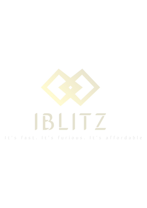# IBLIT

It's fast. It's furious. It's affordable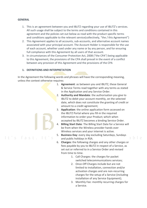### **GENERAL**

It's fast.

- 1. This is an agreement between you and IBLITZ regarding your use of IBLITZ's services. All such usage shall be subject to the terms and conditions contained in this agreement and the policies set out below as read with the product specific terms and conditions applicable to the relevant service(collectively, "the / this Agreement")
- 2. This Agreement applies to all accounts, sub-accounts, and alternative account names associated with your principal account. The Account Holder is responsible for the use of each account, whether used under any name or by any person, and for ensuring full compliance with this Agreement by all users of that account.
- 3. In circumstances of the Consumer Protection Act, 2008 ("the CPA") being applicable to this Agreement, the provisions of the CPA shall prevail in the event of a conflict between any provision of this Agreement and the provisions of the CPA

### **1. DEFINITIONS AND INTERPRETATION**

In the Agreement the following words and phrases will have the corresponding meaning, unless the context otherwise requires:

- 1. **Agreement**: as between you and IBLITZ, these General & Service Terms read together with any terms as stated in the Application and any Service Order.
- 2. **Authority and Mandate**: the authorisation you give to IBLITZ to debit your account monthly, on the selected date, which does not constitute the granting of credit or amount to a credit agreement;
- 3. **Application**: the online application form accessed on the IBLITZ Portal where you fill-in the required information to order your Product; which when accepted by IBLITZ becomes a binding Service Order.
- 4. **Billing Start Date**: The Billing Start Date for a Service will be from when the Wireless provider hands over Wireless services and your internet is active.
- 5. **Business Day**: every day excluding Saturdays, Sundays and public holidays in RSA.
- 6. **Charges:** the following charges and any other charges or fees payable by you to IBLITZ in respect of a Service, as set out or referred to in a Service Order and revised from time to time.
	- 1. Call Charges: the charges for packet switched telecommunications services;
	- 2. Once-Off Charges include but are not limited to installation, connection and/or activation charges and are non-recurring charges for the setup of a Service (including installation of any Service Equipment);
	- 3. Monthly Fee: monthly recurring charges for a Service.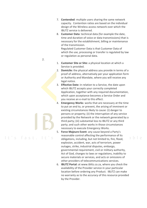- 7. **Contended**: multiple users sharing the same network capacity. Contention ratios are based on the individual design of the Wireless access network over which the IBLITZ service is delivered.
- 8. **Customer Data**: technical data (for example the date, time and duration of voice or data transmissions) that is necessary for the establishment, billing or maintenance of the transmission.

Regulated Customer Data is that Customer Data of which the use, processing or transfer is regulated by law or regulation as personal data.

- 1. **Customer Site or Site:** a physical location at which a Service is provided.
- 2. **Domicile:** the physical address you provide in terms of a proof of address, alternatively per your application form or Authority and Mandate, where you will receive any legal notice.
- 3. **Effective Date:** in relation to a Service, the date upon which IBLITZ accepts your correctly completed Application, together with any required documentation, which upon acceptance becomes a Service Order and you receive an e-mail to this effect.
- 4. **Emergency Works**: works that are necessary at the time to put an end to, or prevent, the arising of imminent or existing circumstances likely to cause: (i) danger to persons or property; (ii) the interruption of any service provided by the Network or the network generated by a third party; (iii) substantial loss to IBLITZ or any third party; and such other works in those circumstances necessary to execute Emergency Works.
- 5. **Force Majeure Event**: any cause beyond a Party's reasonable control affecting the performance of its obligations, including, but not limited to, fire, flood, explosion, accident, war, acts of terrorism, power outages, strike, industrial disputes, embargo, governmental requirement, civil or military authority, Act of God, changes to laws or regulations, inability to secure materials or services, and acts or omissions of other providers of telecommunications services.

ahle

6. **IBLITZ Portal:** at www.iblitz.co.za, where you check the availability of the Provider service in your particular location before ordering any Product. IBLITZ can make no warranty as to the accuracy of this resource provided by the Provider.

2.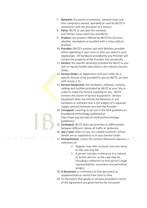- 7. **Network:** the points of presence, network hubs and host computers owned, operated or used by IBLITZ in connection with the provision of a Service.
- 8. **Party:** IBLITZ or you (per the context), and Parties means both you and IBLITZ.
- 9. **Product:** any product offered by IBLITZ for Services, whether standalone or bundled with a value add-on product;
- 10. **Provider:** IBLITZ's partner last-mile Wireless provider either operating in your area or who you select in your Application. All hardware provided by any Provider will remain the property of the Provider into perpetuity.
- 11. **Service:** the specific service(s) provided by IBLITZ to you and as may be further described in the relevant Service Order.
- 12. **Service Order:** an Application and your order for a specific Service to be provided to you by IBLITZ, as read with clause 1.11.
- 13. **Service Equipment:** the hardware, software, systems, cabling and facilities provided by IBLITZ at your Site in order to make the Service available to you. IBLITZ remains the owner of Service Equipment. Service Equipment does not include the Network or any hardware or software that is the subject of a separate supply contract between you and the Provider.
- 14. **Uncapped**: meaning as set out in the ISPA guideline on broadband terminology published at http://ispa.org.za/code-of-conduct/terminologyguidelines/.
- 15. **Unshaped:** IBLITZ does not prioritise or differentiate between different classes of traffic or protocols.
- 16. **you / your** refers to you, our valued customer, whose details are as supplied to us in your Service Order.

- 17. **Interpretation:** Unless the context otherwise requires, a **b b e** reference to:
	- 1. Singular may refer to plural, and vice versa, as the case may be;
	- 2. A person includes a reference to a natural or juristic person, as the case may be, including a reference to that person's legal representatives, successors and permitted assigns;
- 18. **A document** is a reference to that document as supplemented or varied from time to time.
- 19. To the extent that goods or services provided in terms of the Agreement are governed by the Consumer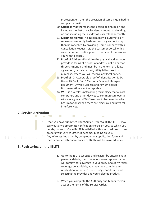Protection Act, then the provision of same is qualified to comply therewith.

- 20. **Calendar Month:** means the period beginning on and including the first of each calendar month and ending on and including the last day of such calendar month.
- 21. **Month to Month:** The agreement will automatically renew on a monthly basis and such agreement may then be cancelled by providing Home-Connect with a Cancellation Request via the customer portal with a calendar month notice prior to the date of the service you wish to cancel.
- 22. **Proof of Address** (Domicile) the physical address you provide in terms of a proof of address, not older than three (3) months and must be in the form of a lease agreement/rental contract/utility bill or proof of purchase, where you will receive any legal notice.
- 23. **Proof of ID:** Acceptable proof of Identification is SA Green ID Book, SA ID Card or a Passport. Refugee document, Driver's License and Asylum Seeker Documentation is not acceptable.
- **24. Wi-Fi** is a wireless networking technology that allows computers and other devices to communicate over a wireless signal and Wi-Fi uses radio frequencies which has limitations when there are electrical and physical interferences.

### **2. Service Activation**

It's fast

- 1. Once you have submitted your Service Order to IBLITZ, IBLITZ may carry out any appropriate verification checks on you, to which you hereby consent. Once IBLITZ is satisfied with your credit record and accepts your Service Order, it becomes binding on you.
- 2. Any Wireless line order by completing our application form and then cancelled after acceptance by IBLITZ will be invoiced to you.

### **3. Registering on the IBLITZ**

1. Go to the IBLITZ website and register by entering your personal details, then one of our sales representative will confirm for coverage in your area. Should Wireless coverage be available, you may then complete an Application for Service by entering your details and selecting the Provider and your selected Product

ahle

2. When you complete the Authority and Mandate, you accept the terms of the Service Order.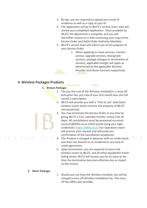- 3. By law, you are required to upload your proof of residence as well as a copy of your ID.
- 4. The Application will go to IBLITZ's service team, who will review your completed Application. Once accepted by IBLITZ, the Agreement is complete, and you will thereafter receive an e-mail containing your copy of the Service Order and Debit Order Authority Mandate.
- 5. IBLITZ's service team will inform you of the progress of your Service Order.
	- 1. When applying to move services, transfer service, upgrade services, downgrade services, package changes or termination of services, applicable charges will apply as determined by the applicable Wireless Provider and Home-Connect respectively.

### **4. Wireless Packages Products**

### **1. Bronze Package :**

- 1. You pay the cost of the Wireless installation, a once off Activation fee, pro-rata of your first month plus one full month's subscription.
- 2. IBLITZ will provide you with a "free to use" dual-band wireless router which remains the property of IBLITZ into perpetuity.
- 3. You may terminate the Service Order at any time by giving IBLITZ 1 FULL calendar months' notice (not 30 days). All cancellations must be processed via email: accounts@iblitz.co.za online portal using your login credentials: [https://iblitz.co.za.](https://portal.home-connect.co.za/) Our Operations team will process your request and will email you confirmation of the cancellation acceptance.
- 4. This Product is charged in advance, with no credit check,  $\Box$ and does not amount to an incidental or any kind of credit agreement.
- 5. Upon termination, you are required to return the wireless router to IBLITZ, and all other equipment install failing which, IBLITZ will invoice you for its value at the time the termination becomes effective due as stated on the invoice.

### **2. Silver Package:**

It's fast.

1. Should you not have the Wireless installed, you will be charged a once off Wireless installation fee. This once off fee differs per provider.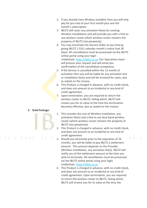- 2. If you already have Wireless installed, then you will only pay for pro-rata of your first month plus one full month's subscription
- 3. IBLITZ will cover any activation fee(s) for existing Wireless installations and will provide you with a free to use wireless router which wireless router remains the property of IBLITZ into perpetuity.
- 4. You may terminate the Service Order at any time by giving IBLITZ 1 FULL calendar month's notice (not 30 days). All cancellations must be processed via the IBLITZ online portal using your login credentials: [https://iblitz.co.za.](https://portal.home-connect.co.za/) Our Operations team will process your request and will email you confirmation of the cancellation acceptance.
- 5. If the Service is cancelled within the 12 month of activation then you will be liable for any activation and or installation fee(s) and will be invoiced for same, due as stated on the invoice.
- 6. This Product is charged in advance, with no credit check, and does not amount to an incidental or any kind of credit agreement.
- 7. Upon termination, you are required to return the wireless router to IBLITZ, failing which, IBLITZ will invoice you for its value at the time the termination becomes effective, due as stated on the invoice.

### **3. Gold Package:**



- 1. This includes the cost of Wireless installation, any activation fee(s) and a free to use dual band wireless router (which wireless router remains the property of IBLITZ into perpetuity).
- 2. This Product is charged in advance, with no credit check, and does not amount to an incidental or any kind of credit agreement. able
- 3. Should you terminate prior to the expiration of 24 months, you will be liable to pay IBLITZ a settlement amount. This amount depends on the Provider (Wireless installation, any activation fee(s). IBLITZ will notify you of the settlement amount at the time you wish to terminate. All cancellations must be processed via the IBLITZ online portal using your login credentials: [https://iblitz.co.za](https://portal.home-connect.co.za/)
- 4. This Product is charged in advance, with no credit check, and does not amount to an incidental or any kind of credit agreement. Upon termination, you are required to return the wireless router to IBLITZ, failing which, IBLITZ will invoice you for its value at the time the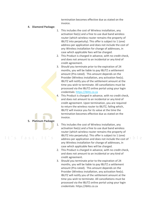termination becomes effective due as stated on the invoice.

### **4. Diamond Package:**

- 1. This includes the cost of Wireless installation, any activation fee(s) and a free to use dual band wireless router (which wireless router remains the property of IBLITZ into perpetuity). This offer is subject to 1 (one) address per application and does not include the cost of any Wireless installation for change of addresses, in case which applicable fees will be charged.
- 2. This Product is charged in advance, with no credit check, and does not amount to an incidental or any kind of credit agreement.
- 3. Should you terminate prior to the expiration of 24 months, you will be liable to pay IBLITZ a settlement amount (Pro-rated). This amount depends on the Provider (Wireless installation, any activation fee(s). IBLITZ will notify you of the settlement amount at the time you wish to terminate. All cancellations must be processed via the IBLITZ online portal using your login credentials: [https://iblitz.co.za](https://portal.home-connect.co.za/)
- 4. This Product is charged in advance, with no credit check, and does not amount to an incidental or any kind of credit agreement. Upon termination, you are required to return the wireless router to IBLITZ, failing which, IBLITZ will invoice you for its value at the time the termination becomes effective due as stated on the invoice.
- 1. This includes the cost of Wireless installation, any activation fee(s) and a free to use dual band wireless router (which wireless router remains the property of IBLITZ into perpetuity). This offer is subject to 1 (one) address per application and does not include the cost of any Wireless installation for change of addresses, in case which applicable fees will be charged.
- 2. This Product is charged in advance, with no credit check, and does not amount to an incidental or any kind of credit agreement.
- 3. Should you terminate prior to the expiration of 24 months, you will be liable to pay IBLITZ a settlement amount (Pro-rated). This amount depends on the Provider (Wireless installation, any activation fee(s). IBLITZ will notify you of the settlement amount at the time you wish to terminate. All cancellations must be processed via the IBLITZ online portal using your login credentials: [https://iblitz.co.za](https://portal.home-connect.co.za/)

### **5. Platinum Package:**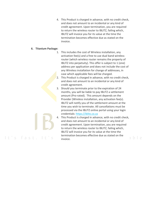4. This Product is charged in advance, with no credit check, and does not amount to an incidental or any kind of credit agreement. Upon termination, you are required to return the wireless router to IBLITZ, failing which, IBLITZ will invoice you for its value at the time the termination becomes effective due as stated on the invoice.

### **6. Titanium Package:**

It's fast. It

- 1. This includes the cost of Wireless installation, any activation fee(s) and a free to use dual band wireless router (which wireless router remains the property of IBLITZ into perpetuity). This offer is subject to 1 (one) address per application and does not include the cost of any Wireless installation for change of addresses, in case which applicable fees will be charged.
- 2. This Product is charged in advance, with no credit check, and does not amount to an incidental or any kind of credit agreement.
- 3. Should you terminate prior to the expiration of 24 months, you will be liable to pay IBLITZ a settlement amount (Pro-rated). This amount depends on the Provider (Wireless installation, any activation fee(s). IBLITZ will notify you of the settlement amount at the time you wish to terminate. All cancellations must be processed via the IBLITZ online portal using your login credentials: [https://iblitz.co.za](https://portal.home-connect.co.za/)
- 4. This Product is charged in advance, with no credit check, and does not amount to an incidental or any kind of credit agreement. Upon termination, you are required to return the wireless router to IBLITZ, failing which, IBLITZ will invoice you for its value at the time the termination becomes effective due as stated on the ahle invoice.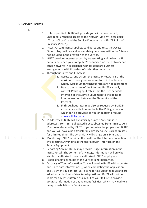### **5. Service Terms**

1.

- 1. Unless specified, IBLITZ will provide you with uncontended, uncapped, unshaped access to the Network via a Wireless circuit ("Access Circuit") and the Service Equipment at a IBLITZ Point of Presence ("PoP").
- 2. Access Circuit: IBLITZ supplies, configures and tests the Access Circuit. Any facilities and extra cabling necessary within the Site are not included in the provision of the Service.
- 3. IBLITZ provides Internet access by transmitting and delivering IP packets between your computer/s connected on the Network and other networks in accordance with its standard business arrangements with Providers of such other networks.
- 4. Throughput Rates and IP Access
	- 1. Access to, and across, the IBLITZ IP Network is at the maximum throughput rates set forth in the Service Order. Maximum throughput rates are not guaranteed.
	- 2. Due to the nature of the Internet, IBLITZ can only control IP throughput rates from the user network interface of the Service Equipment to the point of interconnection between the Network and the Internet.
	- 3. IP throughput rates may also be reduced by IBLITZ in accordance with its Acceptable Use Policy, a copy of which can be provided to you on request or found at [www.iblitz.co.za.](http://www.iblitz.co.za/)
- 5. IP Addresses: IBLITZ will dynamically assign 1\*/29 public IP addresses from IBLITZ allocated blocks obtained from AfriNIC. Any IP address allocated by IBLITZ to you remains the property of IBLITZ and you will have a non-transferable licence to use such addresses for a limited time. The dynamic IP will change on a 24hr basis.
- 6. Monitoring: IBLITZ monitors the health of the Internet connection by collecting SNMP data at the user network interface on the Service Equipment.
- 7. Reporting Service: IBLITZ may provide usage information in the IBLITZ Portal. The content of any usage information will only be visible to authorised users or authorised IBLITZ employees.
- 8. Resale of Service: Resale of the Service is not permitted.
- 9. Accuracy of Your Information: You will provide IBLITZ with accurate and up to date information: (i) when completing the Application; and (ii) when you contact IBLITZ to report a suspected fault and are asked a standard set of structured questions. IBLITZ will not be liable for any loss suffered as a result of your failure to provide accurate information or any relevant facilities, which may lead to a delay in installation or Service repair.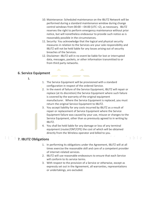- 10. Maintenance: Scheduled maintenance on the IBLITZ Network will be performed during a standard maintenance window during change control windows from 00:00 – 04:00 (UTC +2), as necessary. IBLITZ reserves the right to perform emergency maintenance without prior notice, but will nonetheless endeavour to provide such notice as is reasonably possible in the circumstances.
- 11. Security: You acknowledge that the logical and physical security measures in relation to the Services are your sole responsibility and IBLITZ will not be held liable for any losses arising out of security breaches of the Services.
- 12. Disclaimer: IBLITZ will in no event be liable for lost or interrupted data, messages, packets, or other information transmitted to or from third party networks.

### **6. Service Equipment**

- **1.**
- 1. The Service Equipment will be provisioned with a standard configuration in respect of the ordered Service.
- 2. In the event of failure of the Service Equipment, IBLITZ will repair or replace (at its discretion) the Service Equipment where such failure is covered by the warranty of the original equipment manufacturer. Where the Service Equipment is replaced, you must return the original Service Equipment to IBLITZ.
- 3. You accept liability for any costs incurred by IBLITZ as a result of repair or replacement of Service Equipment where the Service Equipment failure was caused by your use, misuse or changes to the Service Equipment, other than as previously agreed to in writing by IBLITZ.
- 4. You shall be held liable for any damage or loss of any terminal equipment (router/ONT/CPE) the cost of which will be obtained directly from the Wireless operator and billed to you.

# **7. IBLITZ Obligations**

1. In performing its obligations under the Agreement, IBLITZ will at all times exercise the reasonable skill and care of a competent provider of internet-related services.

 $nh$   $p$ 

- 2. IBLITZ will use reasonable endeavours to ensure that each Service will conform to its service terms.
- 3. With respect to the provision of a Service or otherwise, except as expressly set out in the Agreement, all warranties, representations or undertakings, are excluded.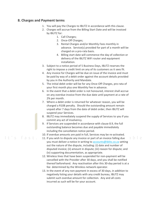### **8. Charges and Payment terms**

It's fast.

- 1. You will pay the Charges to IBLITZ in accordance with this clause.
- 2. Charges will accrue from the Billing Start Date and will be invoiced by IBLITZ for:
	- 1. Call Charges;
	- 2. Once-Off Charges;
	- 3. Rental Charges and/or Monthly Fees monthly in advance. Service(s) provided for part of a month will be charged on a pro-rata basis.
	- 4. Billing start date will commence the day of collection or delivery of the IBLITZ WiFi router and equipment installation.
- 3. Subject to a notice period of 5 Business Days, IBLITZ reserves the right to impose a credit limit on any of its customers as it sees fit.
- 4. Any invoice for Charges will be due on issue of the invoice and must be paid by way of a debit order against the account details provided by you in the Authority and Mandate.
- 5. The initial debit order will be for any Once-Off Charges, pro-rata of your first month plus one Monthly Fee in advance.
- 6. In the event that a debit order is not honoured, interest shall accrue on any overdue invoice from the due date until payment at a rate of 2% per month.
- 7. Where a debit order is returned for whatever reason, you will be charged a R108 penalty. Should the outstanding amount remain unpaid after 7 days from the date of debit order, then IBLITZ will suspend your Services.
- 8. IBLITZ may immediately suspend the supply of Services to you if you commit any act of insolvency.
- 9. If Services are suspended in accordance with clause 8.9, the full outstanding balance becomes due and payable immediately including the cancellation notice period.

10. If overdue amounts are paid in full, Services may be re-activated.

- able 11. If you wish to dispute any invoice or part of an invoice falling due you must deliver a notice in writing to [accounts@iblitz.co.za](mailto:accounts@home-connect.co.za) setting out the nature of the dispute, including: (i) date and number of disputed invoice; (ii) amount in dispute; (iii) reason for dispute; and (iv) supporting documentation, as appropriate.
- 12. Wireless lines that have been suspended for non-payment will be cancelled with the Provider after 30 days, and you shall be notified thereof beforehand. Any reactivation after this 30-day period is at a fee determined by the Wireless network operator.
- 13. In the event of any non-payment in excess of 30 days, in addition to negatively listing your details with any credit bureau, IBLITZ may submit such overdue amount for collection. Any and all costs incurred as such will be for your account.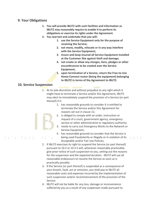### **9. Your Obligations**

- **1. You will provide IBLITZ with such facilities and information as IBLITZ may reasonably require to enable it to perform its obligations or exercise its rights under the Agreement.**
- **2. You warrant and undertake that you will:**
	- **1. use the Service Equipment only for the purpose of receiving the Service;**
	- **2. not move, modify, relocate or in any way interfere with the Service Equipment;**
	- **3. insure and keep insured all Service Equipment installed at the Customer Site against theft and damage;**
	- **4. not create or allow any charges, liens, pledges or other encumbrances to be created over the Service Equipment;**
	- **5. upon termination of a Service, return the Free-to-Use Home-Connect router (being the equipment) belonging to IBLITZ in terms of the Agreement to IBLITZ.**

### **10. Service Suspension**

 $\pm$   $\sim$ 

- 1. At its sole discretion and without prejudice to any right which it might have to terminate a Service and/or this Agreement, IBLITZ may elect to immediately suspend the provision of a Service (or part thereof) if it:
	- 1. has reasonable grounds to consider it is entitled to terminate the Service and/or this Agreement for reasons set out in clause 11;
	- 2. is obliged to comply with an order, instruction or request of a court, government agency, emergency service or other administrative or regulatory authority;
	- 3. needs to carry out Emergency Works to the Network or Service Equipment;
	- 4. has reasonable grounds to consider that the Service is being used fraudulently or illegally or in violation of its Acceptable and/or Fair Use Policies;
- 2. If IBLITZ exercises its right to suspend the Service (or part thereof) pursuant to 10.2 or 10.3 it will, whenever reasonably practicable, give prior notice of such suspension to you, setting out the reasons for the suspension and the expected duration. IBLITZ will use all reasonable endeavours to resume the Service as soon as is practically possible.
- 3. If the Service (or part thereof) is suspended as a consequence of your breach, fault, act or omission, you shall pay to IBLITZ all reasonable costs and expenses incurred by the implementation of such suspension and/or recommencement of the provision of the Service.
- 4. IBLITZ will not be liable for any loss, damage or inconvenience suffered by you as a result of any suspension made pursuant to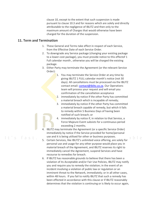clause 10, except to the extent that such suspension is made pursuant to clause 10.3 and for reasons which are solely and directly attributable to the negligence of IBLITZ and then only to the maximum amount of Charges that would otherwise have been charged for the duration of the suspension.

### **11. Term and Termination**

It's fast.

- 1. These General and Terms take effect in respect of each Service, from the Effective Date of each Service Order.
- 2. To downgrade any Service package (changing your existing package to a lower-cost package), you must provide notice to this effectof 1 Full calendar month , otherwise you will be charged the existing package.
- 3. Either Party may terminate the Agreement (or the relevant Service Order):
	- 1. You may terminate the Service Order at any time by giving IBLITZ 1 FULL calendar month's notice (not 30 days). All cancellations must be processed via the IBLITZ contact email[: contact@iblitz.co.za.](mailto:contact@iblitz.co.za) Our Operations team will process your request and will email you confirmation of the cancellation acceptance
	- 2. immediately by notice if the other Party has committed a material breach which is incapable of remedy;
	- 3. immediately by notice if the other Party has committed a material breach capable of remedy, but which it fails to remedy within 5 Business Days of having been notified of such breach; or
	- 4. immediately by notice if, in relation to that Service, a Force Majeure Event subsists for a continuous period exceeding 2 months.

ahle

- 4. IBLITZ may terminate the Agreement (or a specific Service Order) immediately by notice if the Service provided for home/personal use and it is being utilised for other or business purposes.
- 5. Certain Services, like IBLITZ's unlimited voice offering, are solely for personal use and usage for any other purpose would place you in material breach of the Agreement, and IBLITZ reserves its right to immediately cancel the Agreement, suspend Services and have recourse to remedies for breach.
- 6. If IBLITZ has reasonable grounds to believe that there has been a violation of its Acceptable and/or Fair Use Policies, IBLITZ may notify you and require you to remedy the violation; in the event of an incident involving a violation of public law or regulation or an imminent threat to the Network, immediately; or in all other cases, within 48 hours. If you fail to notify IBLITZ that such a remedy has been effected in accordance with this clause or if IBLITZ reasonably determines that the violation is continuing or is likely to occur again,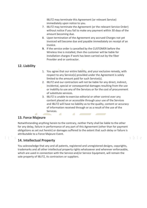IBLITZ may terminate this Agreement (or relevant Service) immediately upon notice to you.

- 7. IBLITZ may terminate the Agreement (or the relevant Service Order) without notice if you fail to make any payment within 30 days of the amount becoming due.
- 8. Upon termination of the Agreement any accrued Charges not yet invoiced will become due and payable immediately on receipt of an invoice.
- **9.** If the service order is cancelled by the CUSTOMER before the Wireless line is installed, then the customer will be liable for installation charges if work has been carried out by the fiber Provider and or contractor.

### **12. Liability**

- 1. You agree that our entire liability, and your exclusive remedy, with respect to any Service(s) provided under the Agreement is solely limited to the amount paid for such Service(s).
- 2. IBLITZ and our contractors will not be liable for any direct, indirect, incidental, special or consequential damages resulting from the use or inability to use any of the Services or for the cost of procurement of substitute services.
- 3. IBLITZ is unable to exercise editorial or other control over any content placed on or accessible through your use of the Services and IBLITZ will have no liability as to the quality, content or accuracy of information received through or as a result of the use of the Services.

 $a b e$ 

## **13. Force Majeure**

Notwithstanding anything herein to the contrary, neither Party shall be liable to the other for any delay, failure in performance of any part of this Agreement (other than for payment obligations as set out herein) or damages suffered to the extent that such delay or failure is attributable to a Force Majeure Event.

 $\sim$ 

**CO** 

## **14. Intellectual Property**

You acknowledge that any and all patents, registered and unregistered designs, copyrights, trademarks and all other intellectual property rights whatsoever and wherever enforceable, which are used in connection with the Service and/or Service Equipment, will remain the sole property of IBLITZ, its contractors or suppliers.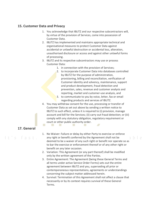### **15. Customer Data and Privacy**

- 1. You acknowledge that IBLITZ and our respective subcontractors will, by virtue of the provision of Services, come into possession of Customer Data.
- 2. IBLITZ has implemented and maintains appropriate technical and organisational measures to protect Customer Data against accidental or unlawful destruction or accidental loss, alteration, unauthorised disclosure or access and against other unlawful forms of processing.
- 3. IBLITZ and its respective subcontractors may use or process Customer Data:
	- 1. in connection with the provision of Services;
		- 2. to incorporate Customer Data into databases controlled by IBLITZ for the purpose of administration, provisioning, billing and reconciliation, verification of Customer identity and solvency, maintenance, support and product development, fraud detection and prevention, sales, revenue and customer analysis and reporting, market and customer-use analysis, and
		- 3. to communicate to you by voice, letter, fax or email regarding products and services of IBLITZ.
- 4. You may withdraw consent for the use, processing or transfer of Customer Data as set out above by sending a written notice to IBLITZ to such effect, unless it is required to (i) provision, manage account and bill for the Services; (ii) carry out fraud detection; or (iii) comply with any statutory obligation, regulatory requirement or court or other public authority order. **College**

## **17. General**

- 1. No Waiver: Failure or delay by either Party to exercise or enforce any right or benefit conferred by the Agreement shall not be deemed to be a waiver of any such right or benefit nor operate so as to bar the exercise or enforcement thereof or of any other right or benefit on any later occasion.
- 2. Variation: This Agreement (or any part thereof) shall be modified only by the written agreement of the Parties.
- 3. Entire Agreement: The Agreement (being these General Terms and all terms under active Service Order Forms) sets out the entire agreement between IBLITZ and you, superseding all prior or contemporaneous representations, agreements or understandings concerning the subject matter addressed herein.
- 4. Survival: Termination of this Agreement shall not affect a clause that necessarily or by its context requires survival of these General Terms.